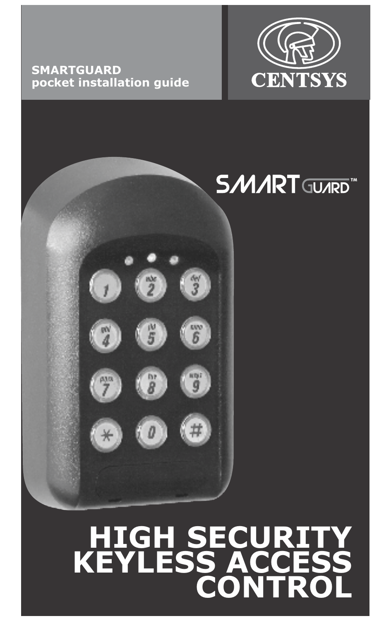

#### **SMARTGUARD pocket installation guide**

# **SMART** GUARD  $\overline{\mathbf{r}}$  $\frac{3}{3}$ 岡  $\overline{6}$ 则  $\frac{5}{8}$  $\frac{np}{q}$ 塑  $\theta$

## **HIGH SECURITY KEYLESS ACCESS CONTROL**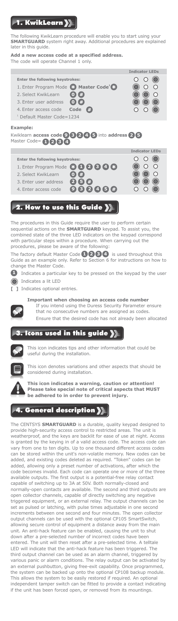

The following KwikLearn procedure will enable you to start using your **SMARTGUARD** system right away. Additional procedures are explained later in this guide.

**Add a new access code at a specified address.**  The code will operate Channel 1 only.

|                                                    | <b>Indicator LEDs</b> |
|----------------------------------------------------|-----------------------|
| Enter the following keystrokes:                    |                       |
| 1. Enter Program Mode & Master Code <sup>1</sup> & |                       |
| 2. Select KwikLearn                                |                       |
| 3. Enter user address                              |                       |
| 4. Enter access code<br>Code                       |                       |
| <sup>1</sup> Default Master Code=1234              |                       |

#### **Example:**

**Kwiklearn access code 9 3 2 4 5 into address 2 5** Master Code= **3 4 1 2**

|                                 | dicator I EDs |
|---------------------------------|---------------|
| Enter the following keystrokes: |               |
| 1. Enter Program Mode 8023348   |               |
| 2. Select KwikLearn<br>#        |               |
| #<br>3. Enter user address      |               |
| 98246#<br>4. Enter access code  |               |
|                                 |               |

### 2. How to use this Guide >

The procedures in this Guide require the user to perform certain sequential actions on the **SMARTGUARD** keypad. To assist you, the combined state of the three LED indicators on the keypad correspond with particular steps within a procedure. When carrying out the procedures, please be aware of the following:

The factory default Master Code  $\bigoplus$  2  $\bigoplus$  4 is used throughout this Guide as an example only. Refer to Section 6 for instructions on how to change the Master Code.

Indicates a particular key to be pressed on the keypad by the user is: Indicates a lit LED **1**

**[ ]** Indicates optional entries.

**Important when choosing an access code number**

If you intend using the Duress Security Parameter ensure that no consecutive numbers are assigned as codes. Ensure that the desired code has not already been allocated

### 3. Icons used in this guide >>



This icon indicates tips and other information that could be useful during the installation.



This icon denotes variations and other aspects that should be considered during installation.



**This icon indicates a warning, caution or attention! Please take special note of critical aspects that MUST be adhered to in order to prevent injury.**

### 4. General description

e CENTSYS **SMARTGUARD** is a durable, quality keypad designed to provide high-security access control to restricted areas. The unit is weatherproof, and the keys are backlit for ease of use at night. Access is granted by the keying in of a valid access code. The access code can vary from one to ten digits. Up to one thousand different access codes can be stored within the unit's non-volatile memory. New codes can be<br>added, and existing codes deleted as required. "Token" codes can be added, and existing codes deleted as required. "Token" codes can be<br>added, allowing only a preset number of activations, after which the added, allowing only a preset number of activations, after code becomes invalid. Each code can operate one or more of the three available outputs. The first output is a potential-free relay contact capable of switching up to 3A at 50V. Both normally-closed and normally-open contacts are available. The second and third outputs are open collector channels, capable of directly switching any negative triggered equipment, or an external relay. The output channels can be set as pulsed or latching, with pulse times adjustable in one second increments between one second and four minutes. The open collector output channels can be used with the optional CP105 SmartSwitch, allowing secure control of equipment a distance away from the main unit. An anti-hack feature can be enabled, causing the unit to shut down after a pre-selected number of incorrect codes have been entered. The unit will then reset after a pre-selected time. A telltale LED will indicate that the anti-hack feature has been triggered. The third output channel can be used as an alarm channel, triggered by various panic or alarm conditions. The relay output can be activated by an external pushbutton, giving free-exit capability. Once programmed, the system can be backed up onto the optional CP108 backup module. This allows the system to be easily restored if required. An optional independent tamper switch can be fitted to provide a contact indicating if the unit has been forced open, or removed from its mountings.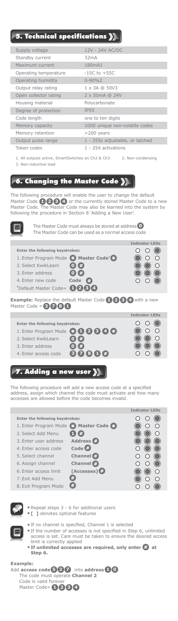### **Technical specifications >>**

| Supply voltage        | 12V - 24V AC/DC                 |
|-----------------------|---------------------------------|
| Standby current       | 32mA                            |
| Maximum current       | 180mA1                          |
| Operating temperature | $-15C$ to $+55C$                |
| Operating humidity    | $0 - 90%2$                      |
| Output relay rating   | 1 x 3A @ 50V3                   |
| Open collector rating | 2 x 50mA @ 24V                  |
| Housing material      | Polycarbonate                   |
| Degree of protection  | <b>IP55</b>                     |
| Code length           | one to ten digits               |
| Memory capacity       | 1000 unique non-volatile codes  |
| Memory retention      | >200 years                      |
| Output pulse range    | 1 - 255s adjustable, or latched |
| Token codes           | 1 - 254 activations             |

1. All outputs active, SmartSwitches on Ch2 & Ch3 2. Non-condensing 3. Non-inductive load

### 6. Changing the Master Code

The following procedure will enable the user to change the default Master Code  $\left(1\right)$  (2) (3) (4) or the currently stored Master Code to a new Master Code **1 2 3 4** or the currently stored Master Code to a new<br>Master Code. The Master Code may also be learned into the system by following the procedure in Section 8 'Adding a New User'.

l The Master Code must always be stored at address **0** The Master Code can be used as a normal access code **Indicator LEDs Enter the following keystrokes:**  $\circ$  $\circ$ ۱ 1. Enter Program Mode **X** Master Code<sup>1</sup>  $\bigcap$ ∩ **0** 2. Select KwikLearn 3. Enter address **0** 4. Enter new code **Code**

**Example:** Replace the default Master Code **1 2 3 4** with a new Master Code = **3 7 8 1**

|                  |                                 |   |       |  | indicator I FDs |  |
|------------------|---------------------------------|---|-------|--|-----------------|--|
|                  | Enter the following keystrokes: |   |       |  |                 |  |
|                  | 1. Enter Program Mode 800066    |   |       |  |                 |  |
|                  | 2. Select KwikLearn             | # |       |  |                 |  |
| 3. Enter address |                                 | # |       |  |                 |  |
|                  | 4. Enter access code            |   | 60000 |  |                 |  |
|                  |                                 |   |       |  |                 |  |

### 7. Adding a new user 7

**<sup>1</sup>**Default Master Code= **1 2 3 4**

The following procedure will add a new access code at a specified address, assign which channel the code must activate and how many accesses are allowed before the code becomes invalid.

|                                         |                      | Indicator LEDs |
|-----------------------------------------|----------------------|----------------|
| Enter the following keystrokes:         |                      |                |
| 1. Enter Program Mode 83 Master Code 83 |                      |                |
| 2. Select Add Menu                      |                      |                |
| 3. Enter user address                   | Address <sup>1</sup> |                |
| 4. Enter access code                    | Code $\Box$          |                |
| 5. Select channel                       | Channel <b>C</b>     |                |
| 6. Assign channel                       | Channel <b>M</b>     |                |
| 6. Enter access limit                   | [Accesses]           |                |
| 7. Exit Add Menu                        |                      |                |
| 8. Exit Program Mode                    |                      |                |
|                                         |                      |                |



 Repeat steps 3 - 6 for additional users **[ ]** denotes optional features



- If no channel is specified, Channel 1 is selected
- If the number of accesses is not specified in Step 6, unlimited access is set. Care must be taken to ensure the desired access limit is correctly applied
	- **If unlimited accesses are required, only enter**  $\mathbb{C}$  at **Step 6.**

#### **Example:**

**Add access code 5 2 7** into **address 1 0** The code must operate **Channel 2** Code is valid forever Master Code= **1 2 3 4**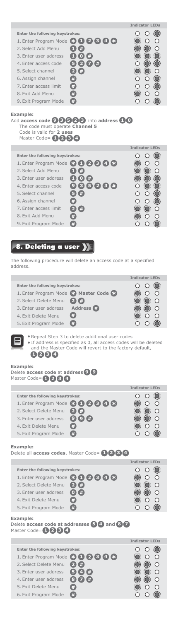|                                                             | <b>Indicator LEDs</b> |
|-------------------------------------------------------------|-----------------------|
| Enter the following keystrokes:                             |                       |
| 1. Enter Program Mode $\bigcirc$ (1) (2) (3) (4) $\bigcirc$ |                       |
| 2. Select Add Menu                                          |                       |
| 3. Enter user address                                       |                       |
| #<br>4. Enter access code                                   |                       |
| 5. Select channel                                           |                       |
| 6. Assign channel                                           |                       |
| 7. Enter access limit<br>#                                  |                       |
| 8. Exit Add Menu<br>×                                       |                       |
| 9. Exit Program Mode                                        |                       |

#### **Example:**

**Add access code**  $\bigcirc$  **(3) (5) (2) (3)** into **address (1) (0** The code must operate **Channel 5** Code is valid for **2 uses**

Master Code= **1 2 3 4**

|                                                                           | <b>Indicator LEDs</b> |
|---------------------------------------------------------------------------|-----------------------|
| Enter the following keystrokes:                                           |                       |
| 1. Enter Program Mode $\bigotimes$ <b>1 2 3 4 <math>\bigotimes</math></b> |                       |
| 2. Select Add Menu                                                        |                       |
| #<br>3. Enter user address                                                |                       |
| 523#<br>4. Enter access code<br>9                                         |                       |
| 5. Select channel<br>#                                                    |                       |
| 6. Assign channel                                                         |                       |
| 7. Enter access limit                                                     |                       |
| 8. Exit Add Menu                                                          |                       |
| 9. Exit Program Mode                                                      |                       |

### 8. Deleting a user >

The following procedure will delete an access code at a specified address.

|                                              | <b>Indicator LEDs</b> |
|----------------------------------------------|-----------------------|
| Enter the following keystrokes:              |                       |
| 1. Enter Program Mode & Master Code &        |                       |
| 2. Select Delete Menu                        |                       |
| Address $\bigoplus$<br>3. Enter user address |                       |
| #<br>4. Exit Delete Menu                     |                       |
| 5. Exit Program Mode                         |                       |
|                                              |                       |

Repeat Step 3 to delete additional user codes

 If address is specified as 0, all access codes will be deleted and the Master Code will revert to the factory default, **3 4 1 2**

#### **Example:**

Ī

Delete **access code** at **address**  $\bullet$  (9) Master Code= **3 9 4 9 1 2**

|                                                                                                               | Indicator LEDs |
|---------------------------------------------------------------------------------------------------------------|----------------|
| Enter the following keystrokes:                                                                               |                |
| 1. Enter Program Mode $\bigotimes$ $\bigoplus$ $\bigoplus$ $\bigotimes$ $\bigoplus$ $\bigotimes$ $\bigotimes$ |                |
| 2. Select Delete Menu<br>#                                                                                    |                |
| #<br>3. Enter user address<br>r a                                                                             |                |
| 4. Exit Delete Menu<br>#                                                                                      |                |
| 5. Exit Program Mode<br>#                                                                                     |                |
|                                                                                                               |                |

#### **Example:**

Delete all **access codes.** Master Code= **3 4 1 2**

|                                   | <b>Indicator LEDs</b> |
|-----------------------------------|-----------------------|
| Enter the following keystrokes:   | O O                   |
| 1. Enter Program Mode & 1 2 3 4 & |                       |
| 2. Select Delete Menu<br>Œ        |                       |
| 3. Enter user address             |                       |
| 4. Exit Delete Menu               |                       |
| 5. Exit Program Mode<br>e.        |                       |
|                                   |                       |

#### **Example:**

**Delete access code at addresses 5 4 and 8 7** Master Code= **3 4 1 2**

| Enter the following keystrokes: |                                                                           |  |
|---------------------------------|---------------------------------------------------------------------------|--|
|                                 | 1. Enter Program Mode $\bigotimes$ <b>1 2 3 4 <math>\bigotimes</math></b> |  |
| 2. Select Delete Menu           |                                                                           |  |
| 3. Enter user address           |                                                                           |  |
| 4. Enter user address           |                                                                           |  |
| 5. Exit Delete Menu             |                                                                           |  |
| 6. Exit Program Mode            | Ħ                                                                         |  |
|                                 |                                                                           |  |

**Indicator LEDs**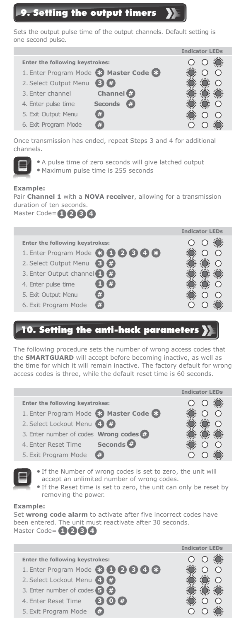### 9. Setting the output timers

Sets the output pulse time of the output channels. Default setting is one second pulse.



Once transmission has ended, repeat Steps 3 and 4 for additional channels.



 A pulse time of zero seconds will give latched output Maximum pulse time is 255 seconds

#### **Example:**

Pair **Channel 1** with a **NOVA receiver**, allowing for a transmission duration of ten seconds.

Master Code= **1 2 3 4**



### 10. Setting the anti-hack parameters

The following procedure sets the number of wrong access codes that the **SMARTGUARD** will accept before becoming inactive, as well as the time for which it will remain inactive. The factory default for wrong access codes is three, while the default reset time is 60 seconds.



Master Code= **1 2 3 4**

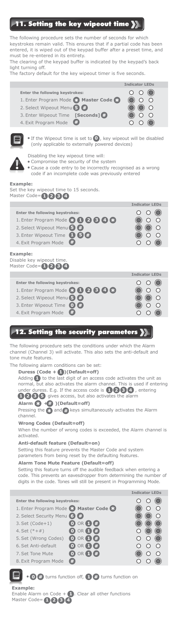### Setting the key wipeout time

The following procedure sets the number of seconds for which keystrokes remain valid. This ensures that if a partial code has been entered, it is wiped out of the keypad buffer after a preset time, and must be re-entered in its entirety.

| must be re-entered in its entirety.<br>The clearing of the keypad buffer is indicated by the keypad's back<br>light turning off.<br>The factory default for the key wipeout timer is five seconds.                                                                                                                                                                                         |                               |
|--------------------------------------------------------------------------------------------------------------------------------------------------------------------------------------------------------------------------------------------------------------------------------------------------------------------------------------------------------------------------------------------|-------------------------------|
|                                                                                                                                                                                                                                                                                                                                                                                            | <b>Indicator LEDs</b>         |
| Enter the following keystrokes:<br>1. Enter Program Mode & Master Code &<br>2. Select Wipeout Menu 5 (#)<br>3. Enter Wipeout Time [Seconds] (#)<br>O<br>4. Exit Program Mode                                                                                                                                                                                                               | $\ddot{\bullet}$<br>∩         |
| • If the Wipeout time is set to $\bullet$ , key wipeout will be disabled<br>(only applicable to externally powered devices)<br>Disabling the key wipeout time will:<br>• Compromise the security of the system<br>• Cause a code entry to be incorrectly recognised as a wrong<br>code if an incomplete code was previously entered<br>Example:<br>Set the key wipeout time to 15 seconds. |                               |
| Master Code=(1)(2)(3)(4)                                                                                                                                                                                                                                                                                                                                                                   | <b>Indicator LEDs</b>         |
| Enter the following keystrokes:<br>1. Enter Program Mode $\binom{2}{1}$ (2) (3) (4) $\binom{3}{1}$<br>2. Select Wipeout Menu 5 (#)<br>3. Enter Wipeout Time $\bigoplus$ 5 $\bigoplus$<br>(#)<br>4. Exit Program Mode<br>Example:<br>Disable key wipeout time.<br>Master Code=1234                                                                                                          | ○ ◎                           |
| Enter the following keystrokes:<br>1. Enter Program Mode (* 1 2 3 4 *)<br>2. Select Wipeout Menu 5 (#)<br>3. Enter Wipeout Time <b>O</b> (#<br>(#<br>4. Exit Program Mode                                                                                                                                                                                                                  | <b>Indicator LEDs</b><br>O .© |
| <b>12. Setting the security parameters &gt;</b><br>The following procedure sets the conditions under which the Alarm<br>channel (Channel 3) will activate. This also sets the anti-default and<br>tone mute features.<br>The following alarm conditions can be set:<br>Duress $(Code + 1)(Default = off)$<br>Adding $\Box$ to the last digit of an access code activates the unit as       |                               |

normal, but also activates the alarm channel. This is used if entering under duress. E.g. If the access code is  $(1)(2)(3)(4)$ , entering **1 2 3 5** gives access, but also activates the alarm **3 3 4 5 1 1 2 2**

Alarm  $\left(3\right)$   $+\left(4\right)$  )(Default=off)

Pressing the  $\ast$  and  $\#$  keys simultaneously activates the Alarm channel.

#### **Wrong Codes (Default=off)**

When the number of wrong codes is exceeded, the Alarm channel is activated.

**Anti-default feature (Default=on)**

Setting this feature prevents the Master Code and system parameters from being reset by the defaulting features.

#### **Alarm Tone Mute Feature (Default=off)**

Setting this feature turns off the audible feedback when entering a code. This prevents an eavesdropper from determining the number of digits in the code. Tones will still be present in Programming Mode.



 $\cdot$  0  $\oplus$  turns function off, **0**  $\oplus$  turns function on

**Example:** Enable Alarm on Code  $+$   $\blacksquare$ . Clear all other functions Master Code= **1 2 3 4**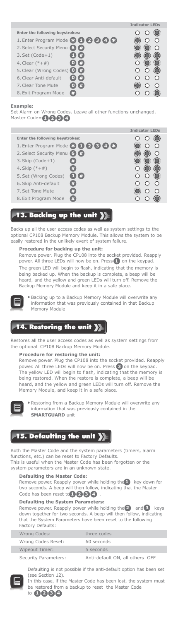|                                                             | <b>Indicator LEDs</b> |
|-------------------------------------------------------------|-----------------------|
| Enter the following keystrokes:                             |                       |
| 1. Enter Program Mode $\bigstar$ (1) (2) (3) (4) $\bigstar$ |                       |
| 2. Select Security Menu 6 #                                 |                       |
| $3. Set (Code+1)$                                           |                       |
| 4. Clear $(*+#)$                                            |                       |
| (#<br>5. Clear (Wrong Codes) 0                              |                       |
| 6. Clear Anti-default                                       |                       |
| 7. Clear Tone Mute                                          |                       |
| 8. Exit Program Mode<br>#                                   |                       |
|                                                             |                       |

**Example:**<br>Set Alarm on Wrong 0 Codes. Leave all other functions unchanged. Master Code= **1 2 3 4**

|                                   | <b>Indicator LEDs</b> |
|-----------------------------------|-----------------------|
| Enter the following keystrokes:   |                       |
| 1. Enter Program Mode 8 0 2 3 4 8 |                       |
| 2. Select Security Menu 6 #       |                       |
| $3.$ Skip (Code+1)                |                       |
| 4. Skip $(*+#)$                   |                       |
| 5. Set (Wrong Codes)              |                       |
| 6. Skip Anti-default              |                       |
| 7. Set Tone Mute<br>Ħ.            |                       |
| 8. Exit Program Mode<br>#         |                       |
|                                   |                       |

### 13. Backing up the unit >

Backs up all the user access codes as well as system settings to the optional CP108 Backup Memory Module. This allows the system to be easily restored in the unlikely event of system failure.

#### **Procedure for backing up the unit:**

Remove power. Plug the CP108 into the socket provided. Reapply power. All three LEDs will now be on. Press **1** on the keypad. The green LED will begin to flash, indicating that the memory is being backed up. When the backup is complete, a beep will be heard, and the yellow and green LEDs will turn off. Remove the Backup Memory Module and keep it in a safe place.



 Backing up to a Backup Memory Module will overwrite any information that was previously contained in that Backup Memory Module

#### 14. Restoring the unit **>>**

Restores all the user access codes as well as system settings from the optional CP108 Backup Memory Module.

#### **Procedure for restoring the unit:**

Remove power. Plug the CP108 into the socket provided. Reapply power. All three LEDs will now be on. Press 3 on the keypad. .<br>The yellow LED will begin to flash, indicating that the memory is being restored. When the restore is complete, a beep will be heard, and the yellow and green LEDs will turn off. Remove the Memory Module, and keep it in a safe place.



 Restoring from a Backup Memory Module will overwrite any information that was previously contained in the **SMARTGUARD** unit

### 15. Defaulting the unit

Both the Master Code and the system parameters (timers, alarm functions, etc.) can be reset to Factory Defaults. This is useful when the Master Code has been forgotten or the system parameters are in an unknown state.

#### Remove power. Reapply power while holding the **i** key down for Code has been reset to  $1$   $2$   $3$   $4$   $\ldots$ **Defaulting the Master Code:** two seconds. A beep will then follow, indicating that the Master

**Remove power. Reapply power while holding the 2 and 3 keys Defaulting the System Parameters:** down together for two seconds. A beep will then follow, indicating that the System Parameters have been reset to the following Factory Defaults:

| Wrong Codes:         | three codes                     |
|----------------------|---------------------------------|
| Wrong Codes Reset:   | 60 seconds                      |
| Wipeout Timer:       | 5 seconds                       |
| Security Parameters: | Anti-default ON, all others OFF |

Defaulting is not possible if the anti-default option has been set (see Section 12).

In this case, if the Master Code has been lost, the system must be restored from a backup to reset the Master Code to **1084** 

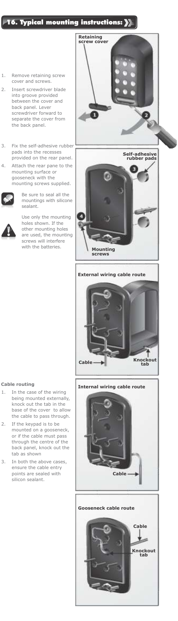### **16. Typical mounting instructions: >>**

1. Remove retaining screw cover and screws.

- 2. Insert screwdriver blade into groove provided between the cover and back panel. Lever screwdriver forward to separate the cover from the back panel.
- 3. Fix the self-adhesive rubber pads into the recesses provided on the rear panel.
- 4. Attach the rear pane to the mounting surface or gooseneck with the mounting screws supplied.



Be sure to seal all the mountings with silicone sealant.

Use only the mounting holes shown. If the other mounting holes are used, the mounting screws will interfere with the batteries.







**Internal wiring cable route**





### **Cable routing**

- 1. In the case of the wiring being mounted externally, knock out the tab in the<br>base of the cover to allow base of the cover the cable to pass through.
- 2. If the keypad is to be mounted on a gooseneck, or if the cable must pass through the centre of the back panel, knock out the tab as shown
- 3. In both the above cases, ensure the cable entry points are sealed with .<br>silicon sealant.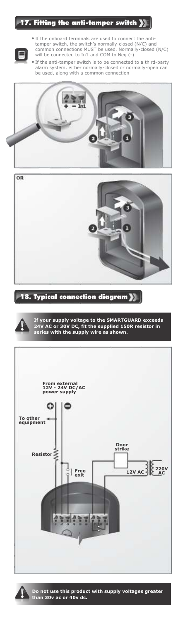

**Do not use this product with supply voltages greater than 30v ac or 40v dc.**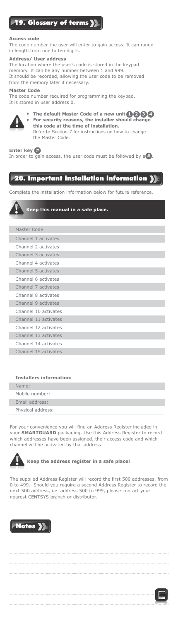

#### **Access code**

The code number the user will enter to gain access. It can range in length from one to ten digits.

#### **Address/ User address**

The location where the user's code is stored in the keypad memory. It can be any number between 1 and 999. It should be recorded, allowing the user code to be removed from the memory later if necessary.

#### **Master Code**

The code number required for programming the keypad. It is stored in user address 0.



**1** The default Master Code of a new unit  $\bigcirc$  **2 8 For security reasons, the installer should change this code at the time of installation.**  Refer to Section 7 for instructions on how to change the Master Code.

#### **Enter key**

**Enter key**  $\#$ <br>In order to gain access, the user code must be followed by a  $\#$ 

### $\blacktriangleright$  20. Important installation information  $\blacktriangleright$

Complete the installation information below for future reference.



Γ

I

### **Keep this manual in a safe place.**

Master Code

| Channel 1 activates  |
|----------------------|
| Channel 2 activates  |
| Channel 3 activates  |
| Channel 4 activates  |
| Channel 5 activates  |
| Channel 6 activates  |
| Channel 7 activates  |
| Channel 8 activates  |
| Channel 9 activates  |
| Channel 10 activates |
| Channel 11 activates |
| Channel 12 activates |
| Channel 13 activates |
| Channel 14 activates |
| Channel 15 activates |
|                      |

| <b>Installers information:</b> |
|--------------------------------|
| Name:                          |
| Mobile number:                 |
| Email address:                 |
| Physical address:              |
|                                |

For your convenience you will find an Address Register included in your **SMARTGUARD** packaging. Use this Address Register to record which addresses have been assigned, their access code and which channel will be activated by that address.

### **Keep the address register in a safe place!**

The supplied Address Register will record the first 500 addresses, from 0 to 499. Should you require a second Address Register to record the next 500 address, i.e. address 500 to 999, please contact your nearest CENTSYS branch or distributor.